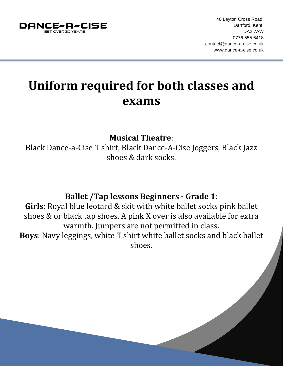

## **Uniform required for both classes and exams**

**Musical Theatre**:

Black Dance-a-Cise T shirt, Black Dance-A-Cise Joggers, Black Jazz shoes & dark socks.

## **Ballet /Tap lessons Beginners - Grade 1**:

**Girls**: Royal blue leotard & skit with white ballet socks pink ballet shoes & or black tap shoes. A pink X over is also available for extra warmth. Jumpers are not permitted in class. **Boys**: Navy leggings, white T shirt white ballet socks and black ballet

shoes.